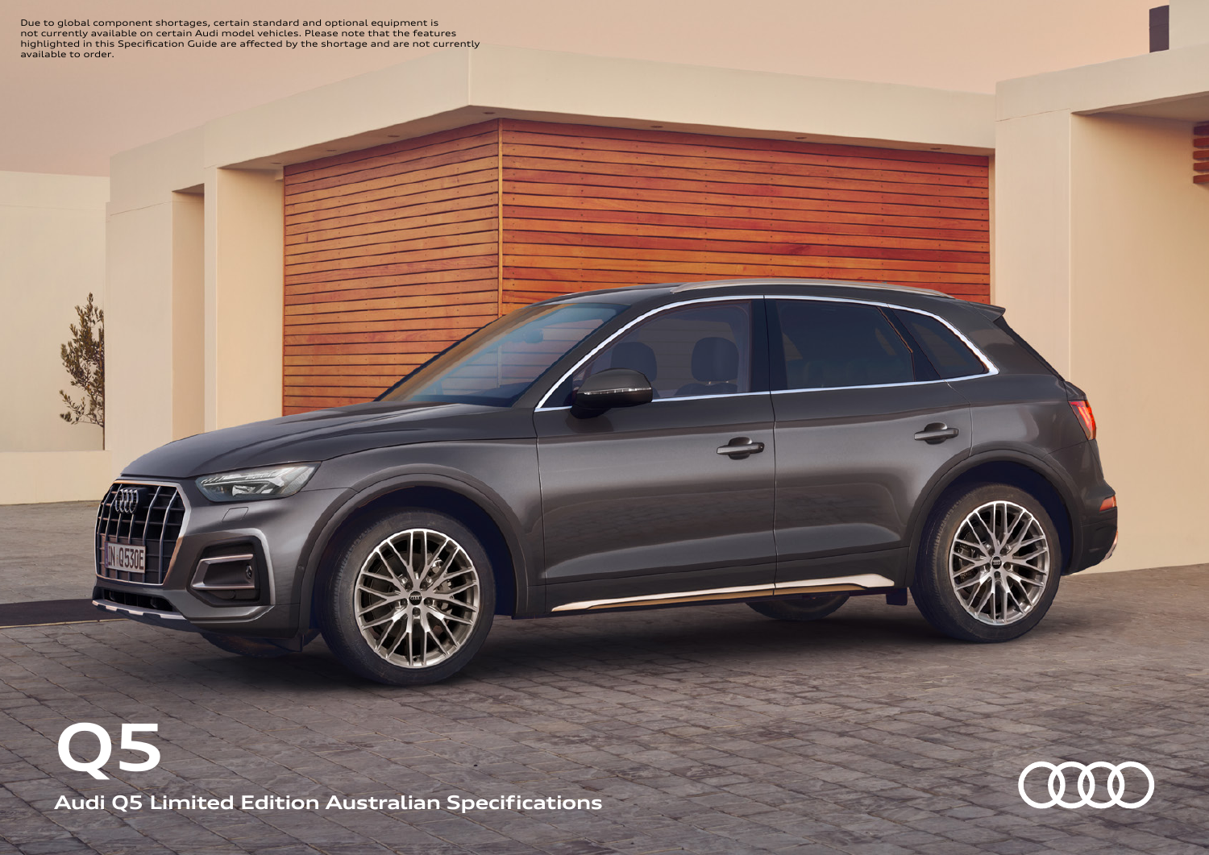Due to global component shortages, certain standard and optional equipment is<br>not currently available on certain Audi model vehicles. Please note that the features<br>highlighted in this Specification Guide are affected by th available to order.

**Audi Q5 Limited Edition Australian Specifications Q5**

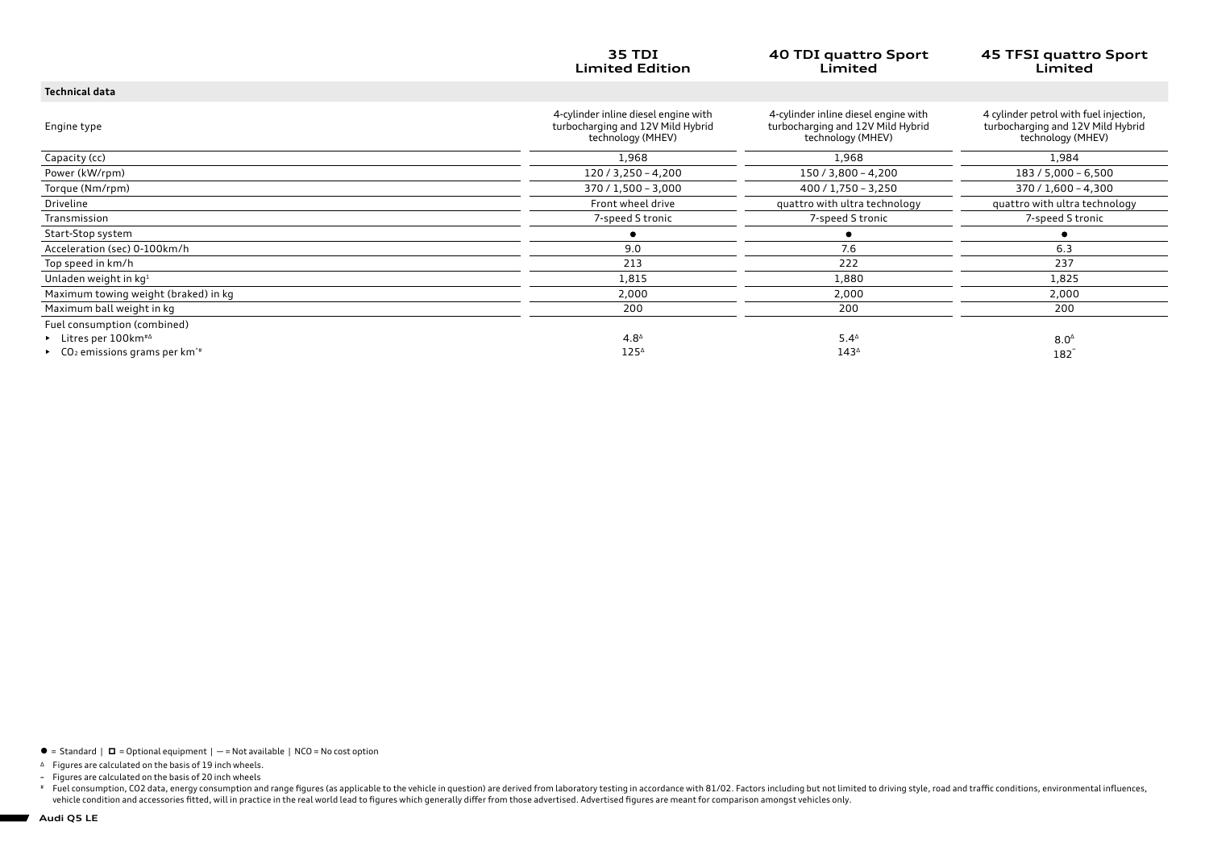|                                                           | <b>35 TDI</b><br><b>Limited Edition</b>                                                        | 40 TDI quattro Sport<br>Limited                                                                | <b>45 TFSI quattro Sport</b><br>Limited                                                          |
|-----------------------------------------------------------|------------------------------------------------------------------------------------------------|------------------------------------------------------------------------------------------------|--------------------------------------------------------------------------------------------------|
| <b>Technical data</b>                                     |                                                                                                |                                                                                                |                                                                                                  |
| Engine type                                               | 4-cylinder inline diesel engine with<br>turbocharging and 12V Mild Hybrid<br>technology (MHEV) | 4-cylinder inline diesel engine with<br>turbocharging and 12V Mild Hybrid<br>technology (MHEV) | 4 cylinder petrol with fuel injection,<br>turbocharging and 12V Mild Hybrid<br>technology (MHEV) |
| Capacity (cc)                                             | 1,968                                                                                          | 1,968                                                                                          | 1,984                                                                                            |
| Power (kW/rpm)                                            | $120/3,250 - 4,200$                                                                            | 150 / 3,800 - 4,200                                                                            | 183 / 5,000 - 6,500                                                                              |
| Torque (Nm/rpm)                                           | 370 / 1,500 - 3,000                                                                            | $400 / 1,750 - 3,250$                                                                          | $370 / 1,600 - 4,300$                                                                            |
| Driveline                                                 | Front wheel drive                                                                              | quattro with ultra technology                                                                  | quattro with ultra technology                                                                    |
| Transmission                                              | 7-speed S tronic                                                                               | 7-speed S tronic                                                                               | 7-speed S tronic                                                                                 |
| Start-Stop system                                         |                                                                                                |                                                                                                |                                                                                                  |
| Acceleration (sec) 0-100km/h                              | 9.0                                                                                            | 7.6                                                                                            | 6.3                                                                                              |
| Top speed in km/h                                         | 213                                                                                            | 222                                                                                            | 237                                                                                              |
| Unladen weight in kg <sup>1</sup>                         | 1,815                                                                                          | 1,880                                                                                          | 1,825                                                                                            |
| Maximum towing weight (braked) in kg                      | 2,000                                                                                          | 2,000                                                                                          | 2,000                                                                                            |
| Maximum ball weight in kg                                 | 200                                                                                            | 200                                                                                            | 200                                                                                              |
| Fuel consumption (combined)                               |                                                                                                |                                                                                                |                                                                                                  |
| $\blacktriangleright$ Litres per 100 km <sup>#4</sup>     | $4.8^{\circ}$                                                                                  | $5.4^{\circ}$                                                                                  | $8.0^{\circ}$                                                                                    |
| ▶ $CO2$ emissions grams per km <sup>-<math>#</math></sup> | $125^{\circ}$                                                                                  | 143 <sup>4</sup>                                                                               | 182                                                                                              |

 $\bullet$  = Standard |  $\Box$  = Optional equipment | - = Not available | NCO = No cost option

<sup>∆</sup> Figures are calculated on the basis of 19 inch wheels.

~ Figures are calculated on the basis of 20 inch wheels

Fuel consumption, CO2 data, energy consumption and range figures (as applicable to the vehicle in question) are derived from laboratory testing in accordance with 81/02. Factors including but not limited to driving style,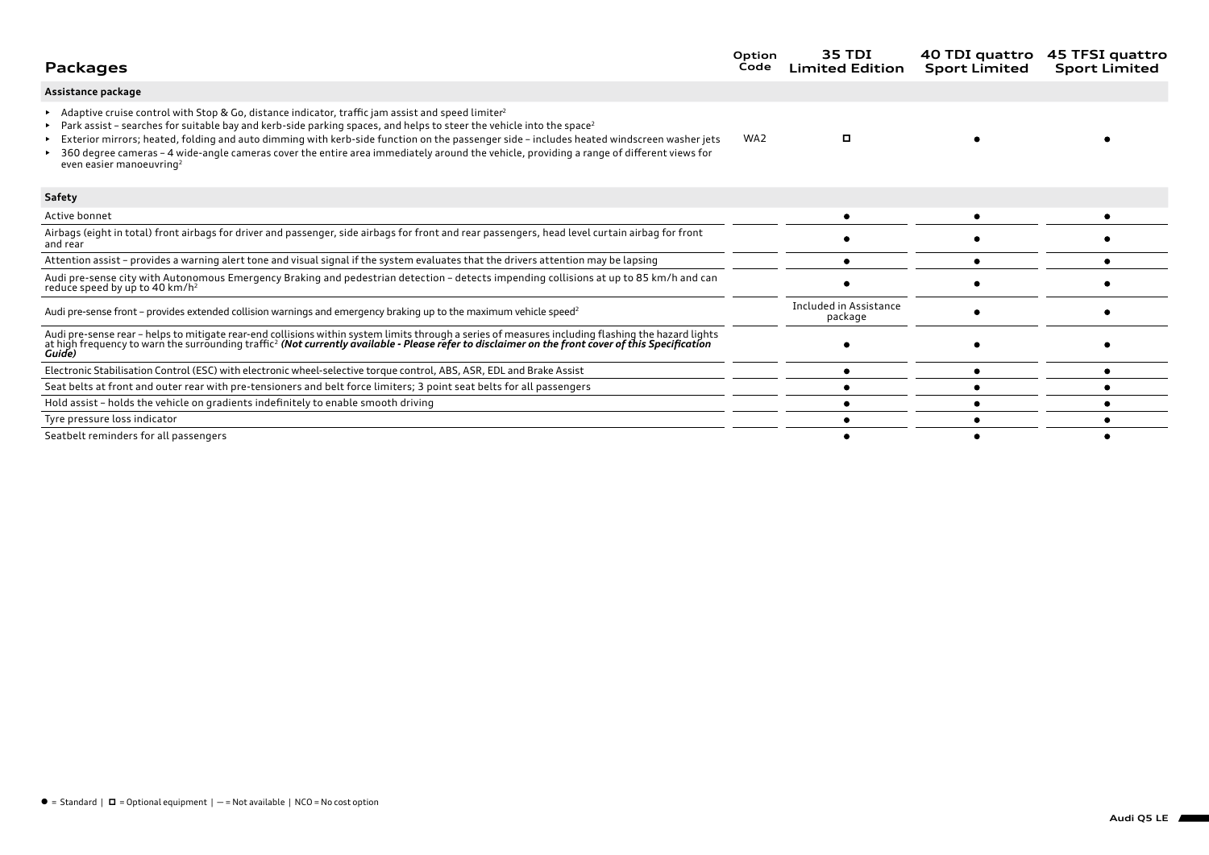| <b>Packages</b>                                                                                                                                                                                                                                                                                                                                                                                                                                                                                                                                                                    | Option<br>Code  | 35 TDI<br><b>Limited Edition</b>  | 40 TDI quattro<br><b>Sport Limited</b> | 45 TFSI quattro<br><b>Sport Limited</b> |
|------------------------------------------------------------------------------------------------------------------------------------------------------------------------------------------------------------------------------------------------------------------------------------------------------------------------------------------------------------------------------------------------------------------------------------------------------------------------------------------------------------------------------------------------------------------------------------|-----------------|-----------------------------------|----------------------------------------|-----------------------------------------|
| Assistance package                                                                                                                                                                                                                                                                                                                                                                                                                                                                                                                                                                 |                 |                                   |                                        |                                         |
| Adaptive cruise control with Stop & Go, distance indicator, traffic jam assist and speed limiter <sup>2</sup><br>Park assist - searches for suitable bay and kerb-side parking spaces, and helps to steer the vehicle into the space <sup>2</sup><br>Exterior mirrors; heated, folding and auto dimming with kerb-side function on the passenger side - includes heated windscreen washer jets<br>360 degree cameras - 4 wide-angle cameras cover the entire area immediately around the vehicle, providing a range of different views for<br>even easier manoeuvring <sup>2</sup> | WA <sub>2</sub> | о                                 |                                        |                                         |
| Safety                                                                                                                                                                                                                                                                                                                                                                                                                                                                                                                                                                             |                 |                                   |                                        |                                         |
| Active bonnet                                                                                                                                                                                                                                                                                                                                                                                                                                                                                                                                                                      |                 |                                   |                                        |                                         |
| Airbags (eight in total) front airbags for driver and passenger, side airbags for front and rear passengers, head level curtain airbag for front<br>and rear                                                                                                                                                                                                                                                                                                                                                                                                                       |                 |                                   |                                        |                                         |
| Attention assist - provides a warning alert tone and visual signal if the system evaluates that the drivers attention may be lapsing                                                                                                                                                                                                                                                                                                                                                                                                                                               |                 |                                   |                                        |                                         |
| Audi pre-sense city with Autonomous Emergency Braking and pedestrian detection - detects impending collisions at up to 85 km/h and can<br>reduce speed by up to 40 km/h <sup>2</sup>                                                                                                                                                                                                                                                                                                                                                                                               |                 |                                   |                                        |                                         |
| Audi pre-sense front – provides extended collision warnings and emergency braking up to the maximum vehicle speed <sup>2</sup>                                                                                                                                                                                                                                                                                                                                                                                                                                                     |                 | Included in Assistance<br>package |                                        |                                         |
| Audi pre-sense rear - helps to mitigate rear-end collisions within system limits through a series of measures including flashing the hazard lights<br>at high frequency to warn the surrounding traffic <sup>2</sup> (Not currently available - Please refer to disclaimer on the front cover of this Specification<br>Guide)                                                                                                                                                                                                                                                      |                 |                                   |                                        |                                         |
| Electronic Stabilisation Control (ESC) with electronic wheel-selective torque control, ABS, ASR, EDL and Brake Assist                                                                                                                                                                                                                                                                                                                                                                                                                                                              |                 |                                   |                                        |                                         |
| Seat belts at front and outer rear with pre-tensioners and belt force limiters; 3 point seat belts for all passengers                                                                                                                                                                                                                                                                                                                                                                                                                                                              |                 |                                   |                                        |                                         |
| Hold assist - holds the vehicle on gradients indefinitely to enable smooth driving                                                                                                                                                                                                                                                                                                                                                                                                                                                                                                 |                 |                                   |                                        |                                         |
| Tyre pressure loss indicator                                                                                                                                                                                                                                                                                                                                                                                                                                                                                                                                                       |                 |                                   |                                        |                                         |
| Seatbelt reminders for all passengers                                                                                                                                                                                                                                                                                                                                                                                                                                                                                                                                              |                 |                                   |                                        |                                         |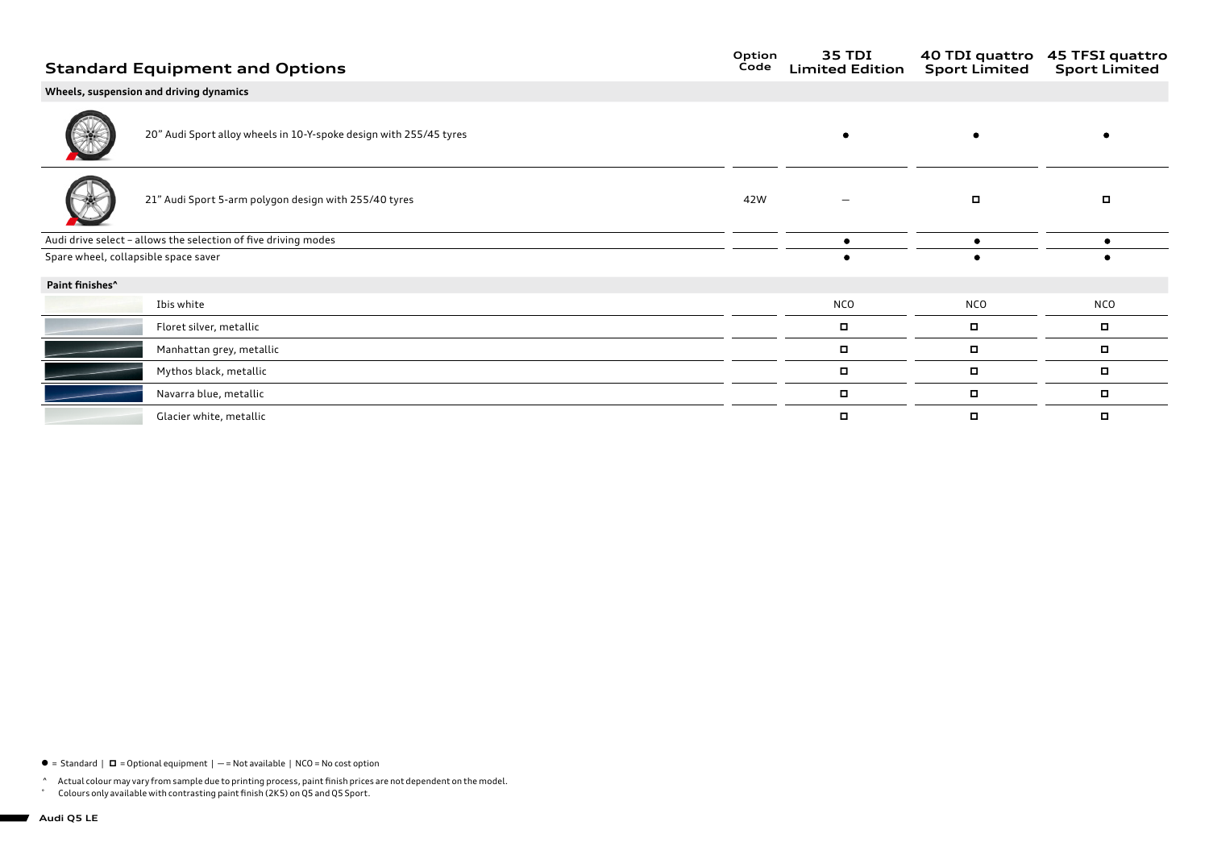## **Wheels, suspension and driving dynamics**

 $\bullet$ 

 $\bullet$ 

 $\bullet$ 

20" Audi Sport alloy wheels in 10-Y-spoke design with 255/45 tyres

| ____                                 |                                                                |     |            |            |     |
|--------------------------------------|----------------------------------------------------------------|-----|------------|------------|-----|
|                                      | 21" Audi Sport 5-arm polygon design with 255/40 tyres          | 42W |            | о          |     |
|                                      | Audi drive select - allows the selection of five driving modes |     |            |            |     |
| Spare wheel, collapsible space saver |                                                                |     | ٠          |            |     |
| Paint finishes <sup>^</sup>          |                                                                |     |            |            |     |
|                                      | Ibis white                                                     |     | <b>NCO</b> | <b>NCO</b> | NCO |
|                                      | Floret silver, metallic                                        |     | о          | $\Box$     | о   |
|                                      | Manhattan grey, metallic                                       |     | $\Box$     | о          | о   |
|                                      | Mythos black, metallic                                         |     | п          | о          | п   |
|                                      | Navarra blue, metallic                                         |     | о          | о          | ▫   |
|                                      | Glacier white, metallic                                        |     | п          | о          | o   |

 $\bullet$  = Standard  $\mid$   $\Box$  = Optional equipment  $\mid$  - = Not available  $\mid$  NCO = No cost option

^ Actual colour may vary from sample due to printing process, paint finish prices are not dependent on the model.<br>Colours only available with contrasting paint finish (2KS) on OS and OS Sport

Colours only available with contrasting paint finish (2K5) on Q5 and Q5 Sport.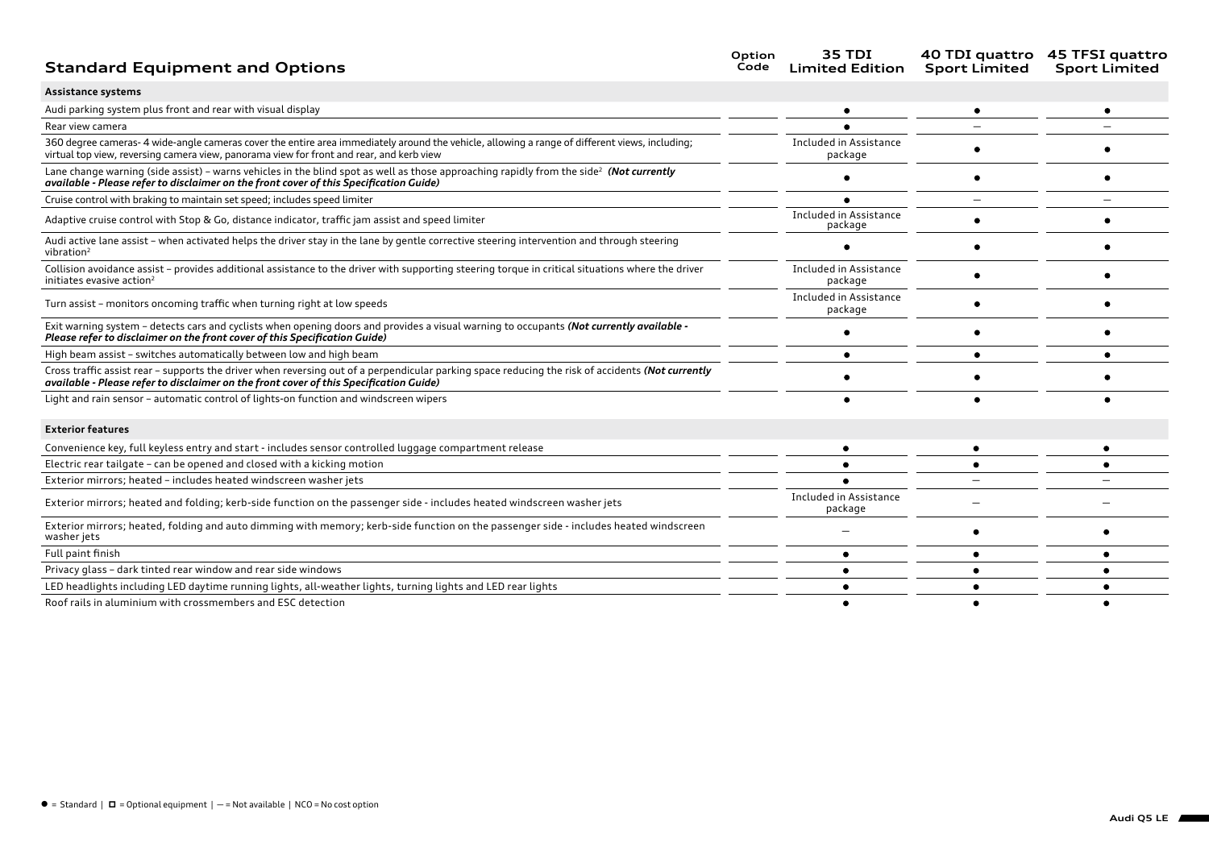# **Standard Equipment and Options**

| Option | <b>35 TDI</b>          |                      | 40 TDI quattro 45 TFSI quattro |
|--------|------------------------|----------------------|--------------------------------|
| Code   | <b>Limited Edition</b> | <b>Sport Limited</b> | <b>Sport Limited</b>           |

| Assistance systems |  |
|--------------------|--|
|--------------------|--|

| Audi parking system plus front and rear with visual display                                                                                                                                                                                   |                                   |  |
|-----------------------------------------------------------------------------------------------------------------------------------------------------------------------------------------------------------------------------------------------|-----------------------------------|--|
| Rear view camera                                                                                                                                                                                                                              |                                   |  |
| 360 degree cameras-4 wide-angle cameras cover the entire area immediately around the vehicle, allowing a range of different views, including;<br>virtual top view, reversing camera view, panorama view for front and rear, and kerb view     | Included in Assistance<br>package |  |
| Lane change warning (side assist) - warns vehicles in the blind spot as well as those approaching rapidly from the side <sup>2</sup> (Not currently<br>available - Please refer to disclaimer on the front cover of this Specification Guide) |                                   |  |
| Cruise control with braking to maintain set speed; includes speed limiter                                                                                                                                                                     |                                   |  |
| Adaptive cruise control with Stop & Go, distance indicator, traffic jam assist and speed limiter                                                                                                                                              | Included in Assistance<br>package |  |
| Audi active lane assist - when activated helps the driver stay in the lane by gentle corrective steering intervention and through steering<br>vibration <sup>2</sup>                                                                          |                                   |  |
| Collision avoidance assist - provides additional assistance to the driver with supporting steering torque in critical situations where the driver<br>initiates evasive action <sup>2</sup>                                                    | Included in Assistance<br>package |  |
| Turn assist - monitors oncoming traffic when turning right at low speeds                                                                                                                                                                      | Included in Assistance<br>package |  |
| Exit warning system - detects cars and cyclists when opening doors and provides a visual warning to occupants (Not currently available -<br>Please refer to disclaimer on the front cover of this Specification Guide)                        |                                   |  |
| High beam assist - switches automatically between low and high beam                                                                                                                                                                           |                                   |  |
| Cross traffic assist rear - supports the driver when reversing out of a perpendicular parking space reducing the risk of accidents (Not currently<br>available - Please refer to disclaimer on the front cover of this Specification Guide)   |                                   |  |
| Light and rain sensor - automatic control of lights-on function and windscreen wipers                                                                                                                                                         |                                   |  |
| <b>Exterior features</b>                                                                                                                                                                                                                      |                                   |  |
| Convenience key, full keyless entry and start - includes sensor controlled luggage compartment release                                                                                                                                        |                                   |  |
| Electric rear tailgate - can be opened and closed with a kicking motion                                                                                                                                                                       |                                   |  |
| Exterior mirrors; heated - includes heated windscreen washer jets                                                                                                                                                                             |                                   |  |
| Exterior mirrors; heated and folding; kerb-side function on the passenger side - includes heated windscreen washer jets                                                                                                                       | Included in Assistance<br>package |  |
| Exterior mirrors; heated, folding and auto dimming with memory; kerb-side function on the passenger side - includes heated windscreen<br>washer jets                                                                                          |                                   |  |
| Full paint finish                                                                                                                                                                                                                             |                                   |  |
| Privacy glass - dark tinted rear window and rear side windows                                                                                                                                                                                 |                                   |  |
| LED headlights including LED daytime running lights, all-weather lights, turning lights and LED rear lights                                                                                                                                   |                                   |  |
| Roof rails in aluminium with crossmembers and ESC detection                                                                                                                                                                                   |                                   |  |

 $\bullet$  = Standard |  $\Box$  = Optional equipment | - = Not available | NCO = No cost option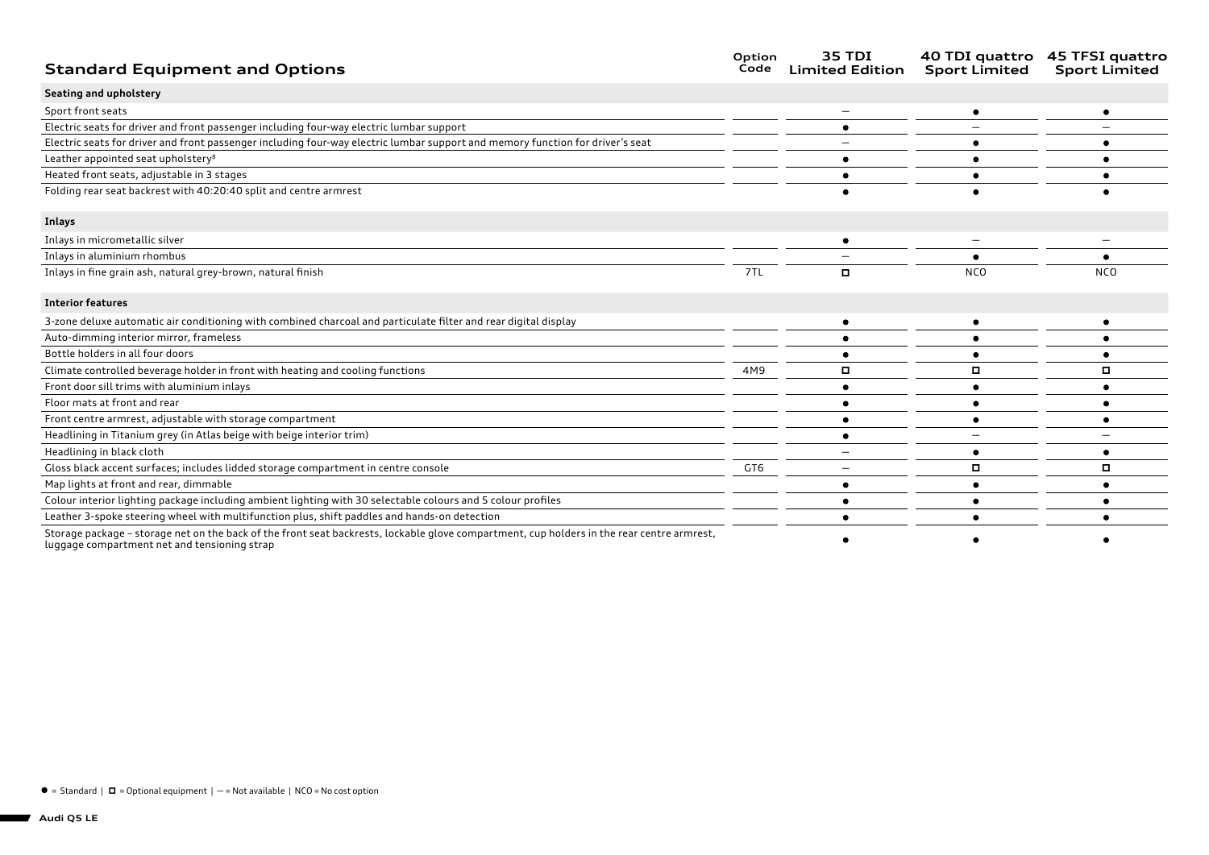| <b>Standard Equipment and Options</b>                                                                                                                                                     | Option<br>Code | 35 TDI<br><b>Limited Edition</b> | 40 TDI quattro<br><b>Sport Limited</b> | 45 TFSI quattro<br><b>Sport Limited</b> |
|-------------------------------------------------------------------------------------------------------------------------------------------------------------------------------------------|----------------|----------------------------------|----------------------------------------|-----------------------------------------|
| Seating and upholstery                                                                                                                                                                    |                |                                  |                                        |                                         |
| Sport front seats                                                                                                                                                                         |                |                                  |                                        |                                         |
| Electric seats for driver and front passenger including four-way electric lumbar support                                                                                                  |                |                                  |                                        |                                         |
| Electric seats for driver and front passenger including four-way electric lumbar support and memory function for driver's seat                                                            |                |                                  |                                        |                                         |
| Leather appointed seat upholstery <sup>8</sup>                                                                                                                                            |                |                                  |                                        |                                         |
| Heated front seats, adjustable in 3 stages                                                                                                                                                |                |                                  |                                        |                                         |
| Folding rear seat backrest with 40:20:40 split and centre armrest                                                                                                                         |                |                                  |                                        |                                         |
| Inlays                                                                                                                                                                                    |                |                                  |                                        |                                         |
| Inlays in micrometallic silver                                                                                                                                                            |                |                                  |                                        |                                         |
| Inlays in aluminium rhombus                                                                                                                                                               |                |                                  |                                        |                                         |
| Inlays in fine grain ash, natural grey-brown, natural finish                                                                                                                              | 7TL            | $\Box$                           | <b>NCO</b>                             | <b>NCO</b>                              |
| <b>Interior features</b>                                                                                                                                                                  |                |                                  |                                        |                                         |
| 3-zone deluxe automatic air conditioning with combined charcoal and particulate filter and rear digital display                                                                           |                |                                  |                                        |                                         |
| Auto-dimming interior mirror, frameless                                                                                                                                                   |                |                                  |                                        |                                         |
| Bottle holders in all four doors                                                                                                                                                          |                |                                  |                                        |                                         |
| Climate controlled beverage holder in front with heating and cooling functions                                                                                                            | 4M9            | о                                | о                                      | о                                       |
| Front door sill trims with aluminium inlays                                                                                                                                               |                |                                  |                                        |                                         |
| Floor mats at front and rear                                                                                                                                                              |                |                                  |                                        |                                         |
| Front centre armrest, adjustable with storage compartment                                                                                                                                 |                |                                  |                                        |                                         |
| Headlining in Titanium grey (in Atlas beige with beige interior trim)                                                                                                                     |                |                                  |                                        |                                         |
| Headlining in black cloth                                                                                                                                                                 |                |                                  |                                        |                                         |
| Gloss black accent surfaces; includes lidded storage compartment in centre console                                                                                                        | GT6            |                                  | о                                      | $\Box$                                  |
| Map lights at front and rear, dimmable                                                                                                                                                    |                |                                  |                                        |                                         |
| Colour interior lighting package including ambient lighting with 30 selectable colours and 5 colour profiles                                                                              |                |                                  |                                        |                                         |
| Leather 3-spoke steering wheel with multifunction plus, shift paddles and hands-on detection                                                                                              |                |                                  |                                        |                                         |
| Storage package - storage net on the back of the front seat backrests, lockable glove compartment, cup holders in the rear centre armrest,<br>ungage compartment net and tensioning strap |                |                                  |                                        |                                         |

luggage compartment net and tensioning strap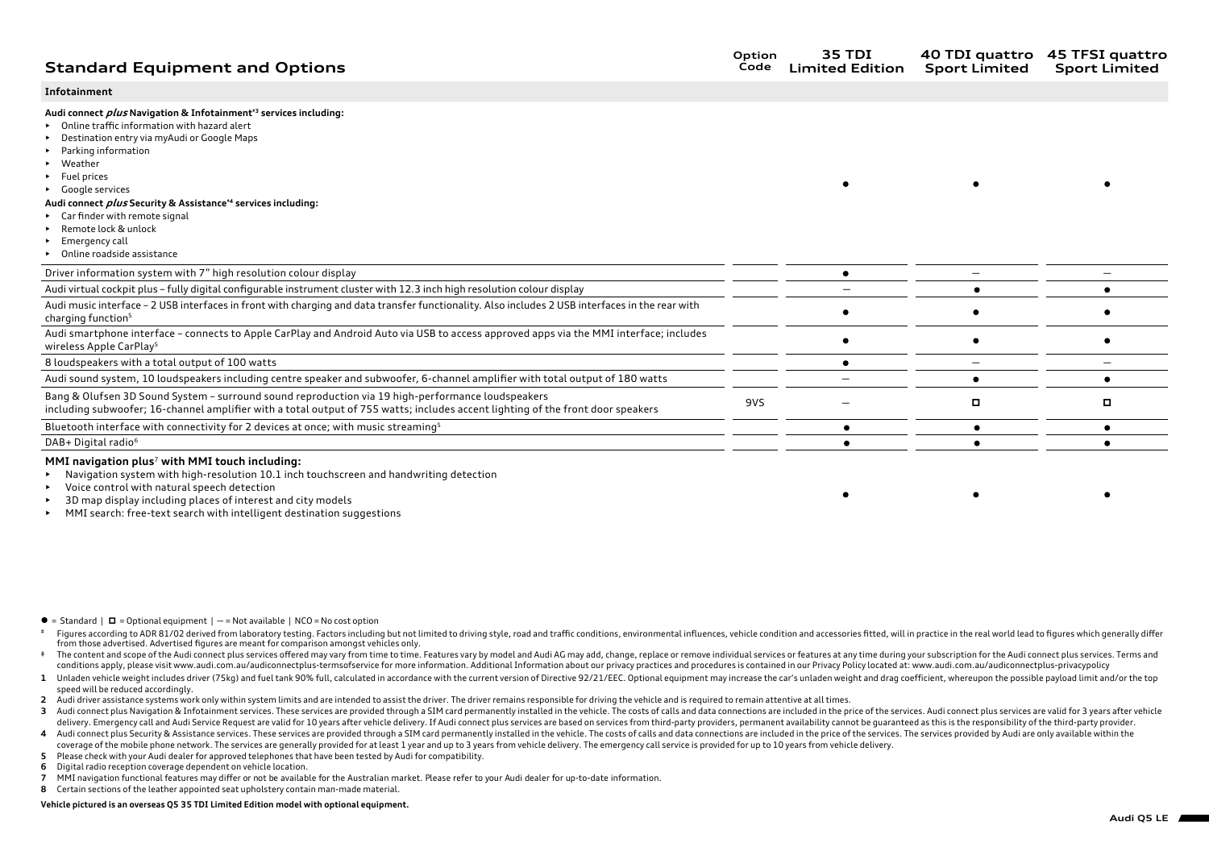# **Standard Equipment and Options**

#### **Infotainment**

#### **Audi connect plus Navigation & Infotainment‡3 services including:**

- Online traffic information with hazard alert
- Destination entry via myAudi or Google Maps
- Parking information
- Weather
- Fuel prices
- Google services

## **Audi connect plus Security & Assistance‡4 services including:**

- Car finder with remote signal
- Remote lock & unlock
- Emergency call
- Online roadside assistance

| Driver information system with 7" high resolution colour display                                                                                                                                                                     |     |  |  |
|--------------------------------------------------------------------------------------------------------------------------------------------------------------------------------------------------------------------------------------|-----|--|--|
| Audi virtual cockpit plus - fully digital configurable instrument cluster with 12.3 inch high resolution colour display                                                                                                              |     |  |  |
| Audi music interface - 2 USB interfaces in front with charging and data transfer functionality. Also includes 2 USB interfaces in the rear with<br>charging function <sup>5</sup>                                                    |     |  |  |
| Audi smartphone interface - connects to Apple CarPlay and Android Auto via USB to access approved apps via the MMI interface; includes<br>wireless Apple CarPlay <sup>5</sup>                                                        |     |  |  |
| 8 loudspeakers with a total output of 100 watts                                                                                                                                                                                      |     |  |  |
| Audi sound system, 10 loudspeakers including centre speaker and subwoofer, 6-channel amplifier with total output of 180 watts                                                                                                        |     |  |  |
| Bang & Olufsen 3D Sound System - surround sound reproduction via 19 high-performance loudspeakers<br>including subwoofer; 16-channel amplifier with a total output of 755 watts; includes accent lighting of the front door speakers | 9VS |  |  |
| Bluetooth interface with connectivity for 2 devices at once; with music streaming <sup>5</sup>                                                                                                                                       |     |  |  |
| DAB+ Digital radio <sup>6</sup>                                                                                                                                                                                                      |     |  |  |
|                                                                                                                                                                                                                                      |     |  |  |

#### **MMI navigation plus**7 **with MMI touch including:**

- Navigation system with high-resolution 10.1 inch touchscreen and handwriting detection
- Voice control with natural speech detection
- 3D map display including places of interest and city models
- MMI search: free-text search with intelligent destination suggestions

- $\bullet$  = Standard  $\mathsf{I}$  = Optional equipment  $\mathsf{I}$  = Not available  $\mathsf{I}$  NCO = No cost option
- Figures according to ADR 81/02 derived from laboratory testing. Factors including but not limited to driving style, road and traffic conditions, environmental influences, vehicle condition and accessories fitted, will in p from those advertised. Advertised figures are meant for comparison amongst vehicles only.
- The content and scope of the Audi connect plus services offered may vary from time to time. Features vary by model and Audi AG may add. change, replace or remove individual services or features at any time during your subs conditions apply, please visit www.audi.com.au/audiconnectplus-termsofservice for more information. Additional Information about our privacy practices and procedures is contained in our Privacy Policy located at: www.audi.
- 1 Unladen vehicle weight includes driver (75kg) and fuel tank 90% full, calculated in accordance with the current version of Directive 92/21/EEC. Optional equipment may increase the car's unladen weight and drag coefficien speed will be reduced accordingly.
- **2** Audi driver assistance systems work only within system limits and are intended to assist the driver. The driver remains responsible for driving the vehicle and is required to remain attentive at all times.
- 3 Audi connect plus Navigation & Infotainment services. These services are provided through a SIM card permanently installed in the vehicle. The costs of calls and data connections are included in the price of the services delivery. Emergency call and Audi Service Request are valid for 10 years after vehicle delivery. If Audi connect plus services are based on services from third-party providers, permanent availability cannot be guaranteed a
- 4 Audi connect plus Security & Assistance services. These services are provided through a SIM card permanently installed in the vehicle. The costs of calls and data connections are included in the price of the services. Th coverage of the mobile phone network. The services are generally provided for at least 1 year and up to 3 years from vehicle delivery. The emergency call service is provided for up to 10 years from vehicle delivery.
- **5** Please check with your Audi dealer for approved telephones that have been tested by Audi for compatibility.
- **6** Digital radio reception coverage dependent on vehicle location.
- **7** MMI navigation functional features may differ or not be available for the Australian market. Please refer to your Audi dealer for up-to-date information.
- **8** Certain sections of the leather appointed seat upholstery contain man-made material.

#### **Vehicle pictured is an overseas Q5 35 TDI Limited Edition model with optional equipment.**